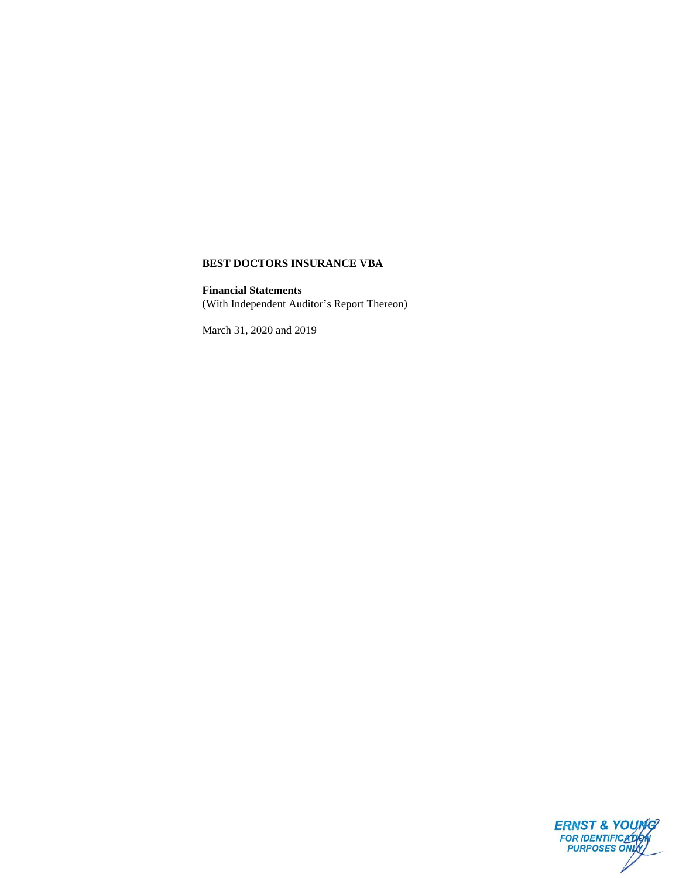# **Financial Statements**

(With Independent Auditor's Report Thereon)

March 31, 2020 and 2019

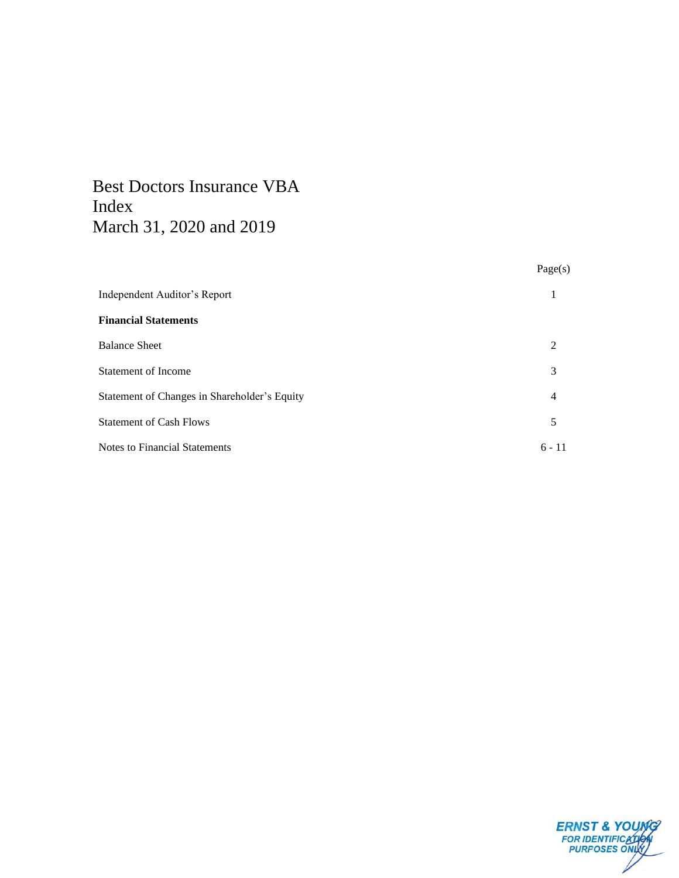# Best Doctors Insurance VBA Index March 31, 2020 and 2019

|                                              | Page(s)  |
|----------------------------------------------|----------|
| Independent Auditor's Report                 |          |
| <b>Financial Statements</b>                  |          |
| <b>Balance Sheet</b>                         | 2        |
| Statement of Income                          | 3        |
| Statement of Changes in Shareholder's Equity | 4        |
| <b>Statement of Cash Flows</b>               | 5        |
| Notes to Financial Statements                | $6 - 11$ |

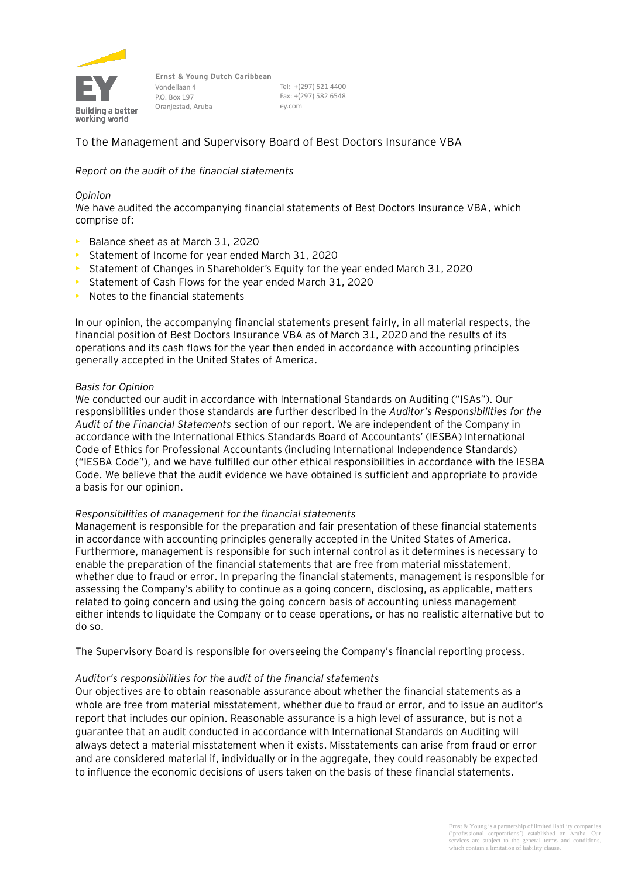

**Ernst & Young Dutch Caribbean** Vondellaan 4 P.O. Box 197 Oranjestad, Aruba

Tel: +(297) 521 4400 Fax: +(297) 582 6548 ey.com

# To the Management and Supervisory Board of Best Doctors Insurance VBA

# *Report on the audit of the financial statements*

# *Opinion*

We have audited the accompanying financial statements of Best Doctors Insurance VBA, which comprise of:

- Balance sheet as at March 31, 2020
- Statement of Income for year ended March 31, 2020
- Statement of Changes in Shareholder's Equity for the year ended March 31, 2020
- Statement of Cash Flows for the year ended March 31, 2020
- $\triangleright$  Notes to the financial statements

In our opinion, the accompanying financial statements present fairly, in all material respects, the financial position of Best Doctors Insurance VBA as of March 31, 2020 and the results of its operations and its cash flows for the year then ended in accordance with accounting principles generally accepted in the United States of America.

# *Basis for Opinion*

We conducted our audit in accordance with International Standards on Auditing ("ISAs"). Our responsibilities under those standards are further described in the *Auditor's Responsibilities for the Audit of the Financial Statements* section of our report. We are independent of the Company in accordance with the International Ethics Standards Board of Accountants' (IESBA) International Code of Ethics for Professional Accountants (including International Independence Standards) ("IESBA Code"), and we have fulfilled our other ethical responsibilities in accordance with the IESBA Code. We believe that the audit evidence we have obtained is sufficient and appropriate to provide a basis for our opinion.

# *Responsibilities of management for the financial statements*

Management is responsible for the preparation and fair presentation of these financial statements in accordance with accounting principles generally accepted in the United States of America. Furthermore, management is responsible for such internal control as it determines is necessary to enable the preparation of the financial statements that are free from material misstatement, whether due to fraud or error. In preparing the financial statements, management is responsible for assessing the Company's ability to continue as a going concern, disclosing, as applicable, matters related to going concern and using the going concern basis of accounting unless management either intends to liquidate the Company or to cease operations, or has no realistic alternative but to do so.

The Supervisory Board is responsible for overseeing the Company's financial reporting process.

# *Auditor's responsibilities for the audit of the financial statements*

Our objectives are to obtain reasonable assurance about whether the financial statements as a whole are free from material misstatement, whether due to fraud or error, and to issue an auditor's report that includes our opinion. Reasonable assurance is a high level of assurance, but is not a guarantee that an audit conducted in accordance with International Standards on Auditing will always detect a material misstatement when it exists. Misstatements can arise from fraud or error and are considered material if, individually or in the aggregate, they could reasonably be expected to influence the economic decisions of users taken on the basis of these financial statements.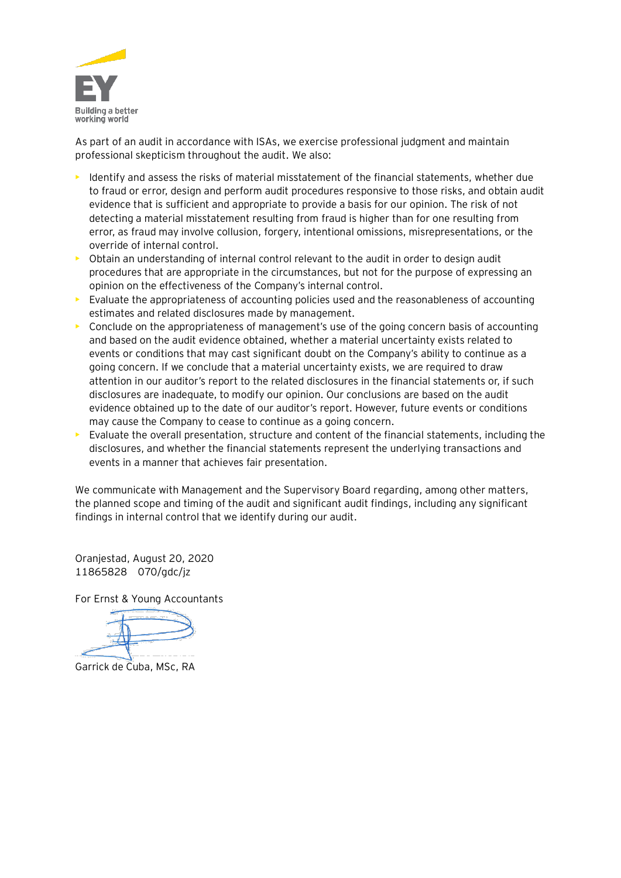

As part of an audit in accordance with ISAs, we exercise professional judgment and maintain professional skepticism throughout the audit. We also:

- Identify and assess the risks of material misstatement of the financial statements, whether due to fraud or error, design and perform audit procedures responsive to those risks, and obtain audit evidence that is sufficient and appropriate to provide a basis for our opinion. The risk of not detecting a material misstatement resulting from fraud is higher than for one resulting from error, as fraud may involve collusion, forgery, intentional omissions, misrepresentations, or the override of internal control.
- Obtain an understanding of internal control relevant to the audit in order to design audit procedures that are appropriate in the circumstances, but not for the purpose of expressing an opinion on the effectiveness of the Company's internal control.
- Evaluate the appropriateness of accounting policies used and the reasonableness of accounting estimates and related disclosures made by management.
- $\triangleright$  Conclude on the appropriateness of management's use of the going concern basis of accounting and based on the audit evidence obtained, whether a material uncertainty exists related to events or conditions that may cast significant doubt on the Company's ability to continue as a going concern. If we conclude that a material uncertainty exists, we are required to draw attention in our auditor's report to the related disclosures in the financial statements or, if such disclosures are inadequate, to modify our opinion. Our conclusions are based on the audit evidence obtained up to the date of our auditor's report. However, future events or conditions may cause the Company to cease to continue as a going concern.
- Evaluate the overall presentation, structure and content of the financial statements, including the disclosures, and whether the financial statements represent the underlying transactions and events in a manner that achieves fair presentation.

We communicate with Management and the Supervisory Board regarding, among other matters, the planned scope and timing of the audit and significant audit findings, including any significant findings in internal control that we identify during our audit.

Oranjestad, August 20, 2020 11865828 070/gdc/jz

For Ernst & Young Accountants

Garrick de Cuba, MSc, RA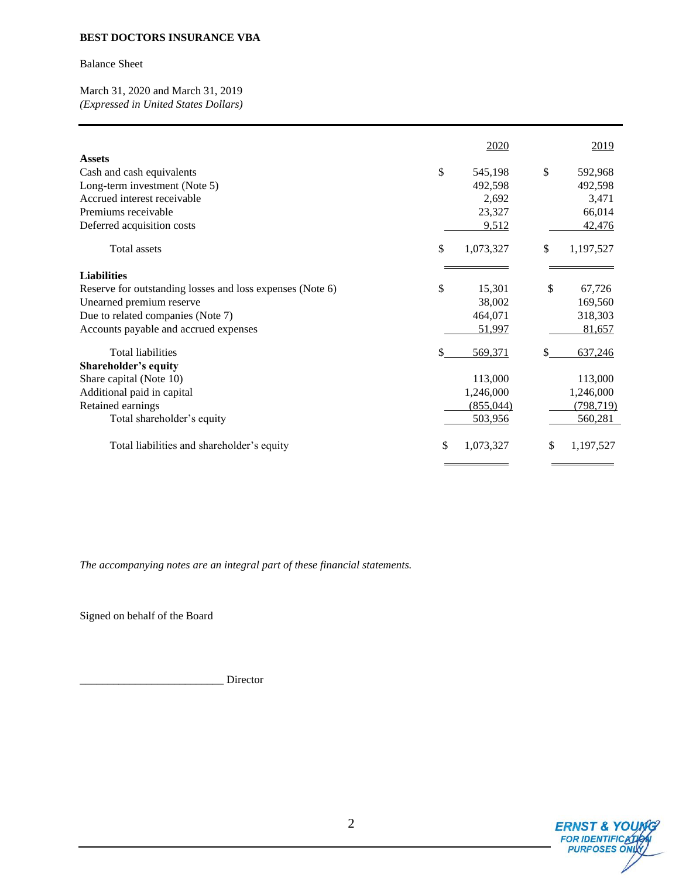Balance Sheet

March 31, 2020 and March 31, 2019 *(Expressed in United States Dollars)*

|                                                           | 2020            |    | 2019       |
|-----------------------------------------------------------|-----------------|----|------------|
| <b>Assets</b>                                             |                 |    |            |
| Cash and cash equivalents                                 | \$<br>545,198   | \$ | 592,968    |
| Long-term investment (Note 5)                             | 492,598         |    | 492,598    |
| Accrued interest receivable                               | 2,692           |    | 3,471      |
| Premiums receivable                                       | 23,327          |    | 66,014     |
| Deferred acquisition costs                                | 9,512           |    | 42,476     |
| <b>Total assets</b>                                       | \$<br>1,073,327 | \$ | 1,197,527  |
| <b>Liabilities</b>                                        |                 |    |            |
| Reserve for outstanding losses and loss expenses (Note 6) | \$<br>15,301    | \$ | 67,726     |
| Unearned premium reserve                                  | 38,002          |    | 169,560    |
| Due to related companies (Note 7)                         | 464,071         |    | 318,303    |
| Accounts payable and accrued expenses                     | 51.997          |    | 81,657     |
| <b>Total liabilities</b>                                  | \$<br>569,371   | S  | 637,246    |
| Shareholder's equity                                      |                 |    |            |
| Share capital (Note 10)                                   | 113,000         |    | 113,000    |
| Additional paid in capital                                | 1,246,000       |    | 1,246,000  |
| Retained earnings                                         | (855,044)       |    | (798, 719) |
| Total shareholder's equity                                | 503,956         |    | 560,281    |
| Total liabilities and shareholder's equity                | \$<br>1,073,327 | \$ | 1,197,527  |
|                                                           |                 |    |            |

*The accompanying notes are an integral part of these financial statements.*

Signed on behalf of the Board

\_\_\_\_\_\_\_\_\_\_\_\_\_\_\_\_\_\_\_\_\_\_\_\_\_\_ Director

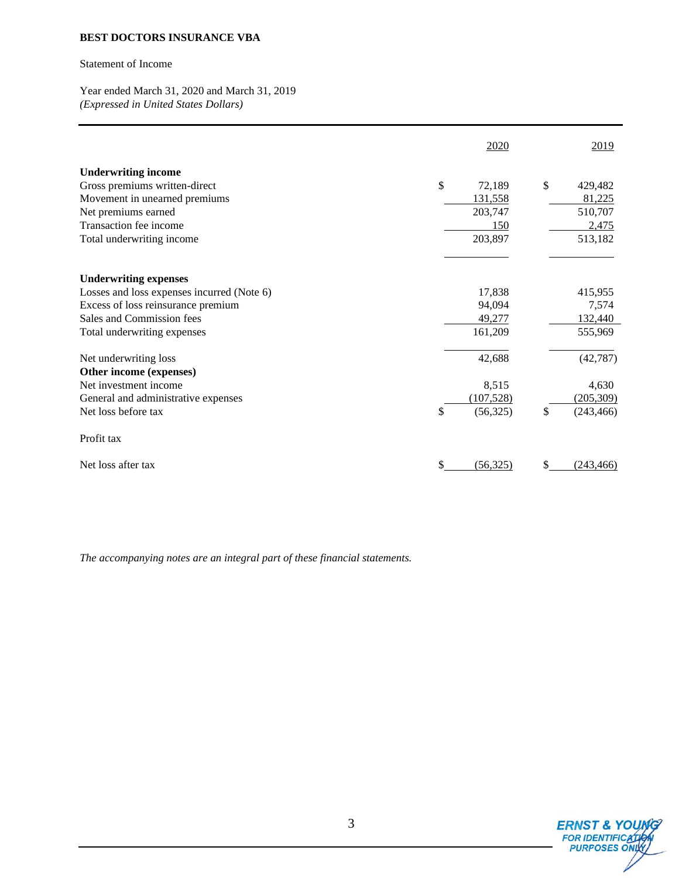Statement of Income

Year ended March 31, 2020 and March 31, 2019 *(Expressed in United States Dollars)*

|                                            | 2020           | 2019             |
|--------------------------------------------|----------------|------------------|
| <b>Underwriting income</b>                 |                |                  |
| Gross premiums written-direct              | \$<br>72,189   | \$<br>429,482    |
| Movement in unearned premiums              | 131,558        | 81,225           |
| Net premiums earned                        | 203,747        | 510,707          |
| Transaction fee income                     | 150            | 2,475            |
| Total underwriting income                  | 203,897        | 513,182          |
| <b>Underwriting expenses</b>               |                |                  |
| Losses and loss expenses incurred (Note 6) | 17,838         | 415,955          |
| Excess of loss reinsurance premium         | 94,094         | 7,574            |
| Sales and Commission fees                  | 49,277         | 132,440          |
| Total underwriting expenses                | 161,209        | 555,969          |
| Net underwriting loss                      | 42,688         | (42, 787)        |
| Other income (expenses)                    |                |                  |
| Net investment income                      | 8,515          | 4,630            |
| General and administrative expenses        | (107, 528)     | (205, 309)       |
| Net loss before tax                        | \$<br>(56,325) | \$<br>(243, 466) |
| Profit tax                                 |                |                  |
| Net loss after tax                         | \$<br>(56,325) | (243, 466)       |

*The accompanying notes are an integral part of these financial statements.*

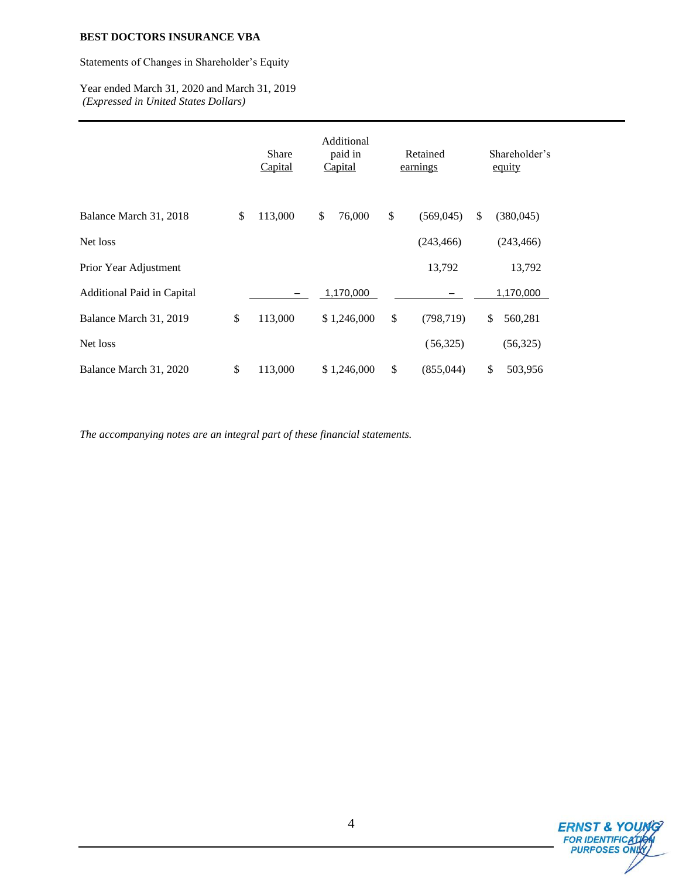Statements of Changes in Shareholder's Equity

Year ended March 31, 2020 and March 31, 2019 *(Expressed in United States Dollars)*

|                                   | <b>Share</b><br>Capital | Additional<br>paid in<br>Capital | Retained<br><u>earnings</u> | Shareholder's<br>equity |
|-----------------------------------|-------------------------|----------------------------------|-----------------------------|-------------------------|
| Balance March 31, 2018            | \$<br>113,000           | \$<br>76,000                     | \$<br>(569, 045)            | \$<br>(380, 045)        |
| Net loss                          |                         |                                  | (243, 466)                  | (243, 466)              |
| Prior Year Adjustment             |                         |                                  | 13,792                      | 13,792                  |
| <b>Additional Paid in Capital</b> |                         | 1,170,000                        |                             | 1,170,000               |
| Balance March 31, 2019            | \$<br>113,000           | \$1,246,000                      | \$<br>(798, 719)            | \$<br>560,281           |
| Net loss                          |                         |                                  | (56,325)                    | (56,325)                |
| Balance March 31, 2020            | \$<br>113,000           | \$1,246,000                      | \$<br>(855,044)             | \$<br>503,956           |

*The accompanying notes are an integral part of these financial statements.*

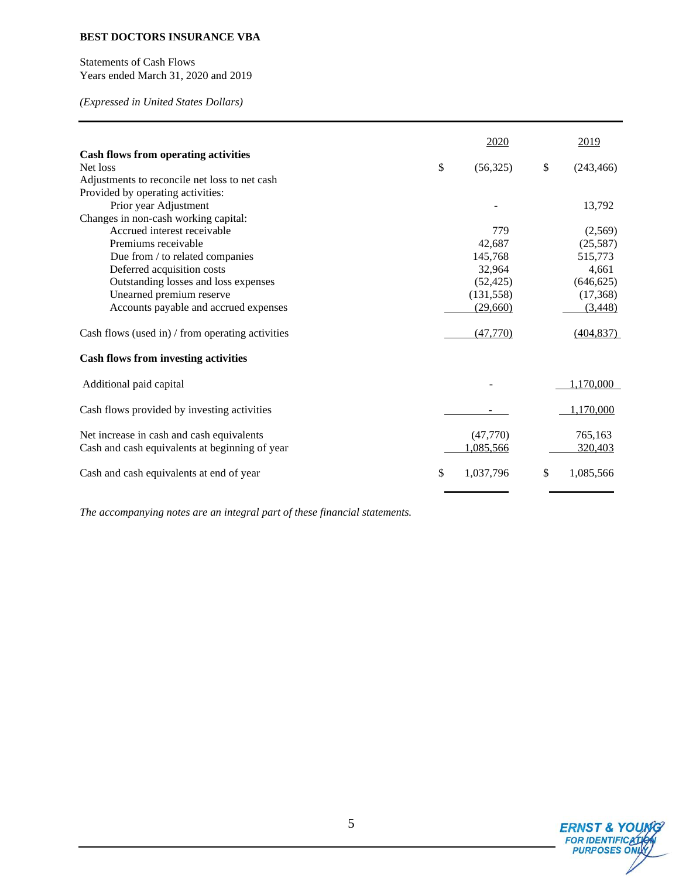Statements of Cash Flows Years ended March 31, 2020 and 2019

*(Expressed in United States Dollars)*

|                                                                                             | 2020                  | 2019               |
|---------------------------------------------------------------------------------------------|-----------------------|--------------------|
| <b>Cash flows from operating activities</b>                                                 |                       |                    |
| Net loss                                                                                    | \$<br>(56,325)        | \$<br>(243, 466)   |
| Adjustments to reconcile net loss to net cash                                               |                       |                    |
| Provided by operating activities:                                                           |                       |                    |
| Prior year Adjustment                                                                       |                       | 13,792             |
| Changes in non-cash working capital:                                                        |                       |                    |
| Accrued interest receivable                                                                 | 779                   | (2,569)            |
| Premiums receivable                                                                         | 42,687                | (25, 587)          |
| Due from / to related companies                                                             | 145,768               | 515,773            |
| Deferred acquisition costs                                                                  | 32,964                | 4,661              |
| Outstanding losses and loss expenses                                                        | (52, 425)             | (646, 625)         |
| Unearned premium reserve                                                                    | (131, 558)            | (17, 368)          |
| Accounts payable and accrued expenses                                                       | (29,660)              | (3, 448)           |
| Cash flows (used in) / from operating activities                                            | (47,770)              | (404, 837)         |
| <b>Cash flows from investing activities</b>                                                 |                       |                    |
| Additional paid capital                                                                     |                       | 1.170.000          |
| Cash flows provided by investing activities                                                 |                       | 1,170,000          |
| Net increase in cash and cash equivalents<br>Cash and cash equivalents at beginning of year | (47,770)<br>1,085,566 | 765,163<br>320,403 |
|                                                                                             |                       |                    |
| Cash and cash equivalents at end of year                                                    | \$<br>1,037,796       | \$<br>1,085,566    |

*The accompanying notes are an integral part of these financial statements.*

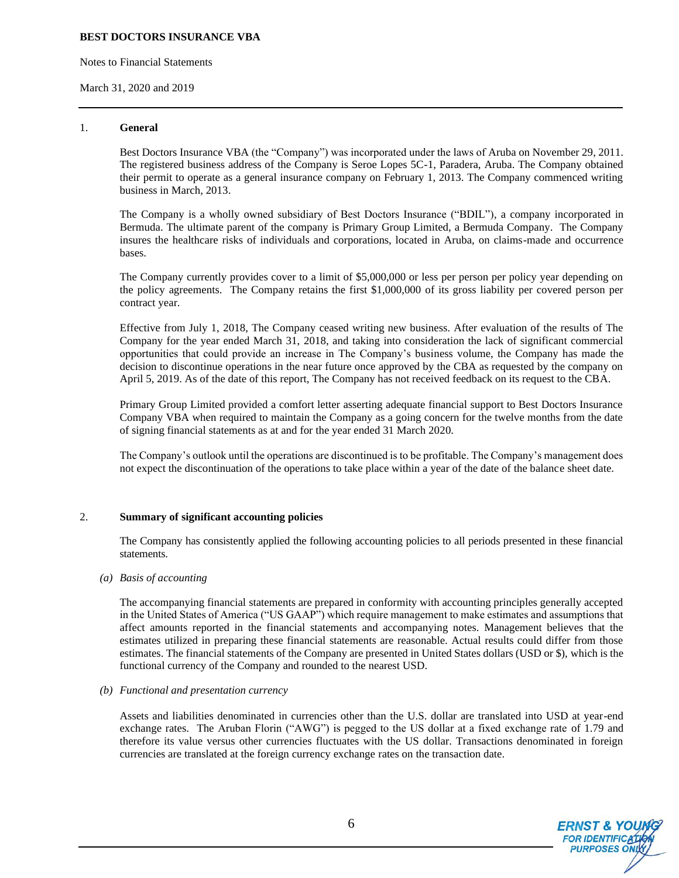Notes to Financial Statements

#### March 31, 2020 and 2019

#### 1. **General**

Best Doctors Insurance VBA (the "Company") was incorporated under the laws of Aruba on November 29, 2011. The registered business address of the Company is Seroe Lopes 5C-1, Paradera, Aruba. The Company obtained their permit to operate as a general insurance company on February 1, 2013. The Company commenced writing business in March, 2013.

The Company is a wholly owned subsidiary of Best Doctors Insurance ("BDIL"), a company incorporated in Bermuda. The ultimate parent of the company is Primary Group Limited, a Bermuda Company. The Company insures the healthcare risks of individuals and corporations, located in Aruba, on claims-made and occurrence bases.

The Company currently provides cover to a limit of \$5,000,000 or less per person per policy year depending on the policy agreements. The Company retains the first \$1,000,000 of its gross liability per covered person per contract year.

Effective from July 1, 2018, The Company ceased writing new business. After evaluation of the results of The Company for the year ended March 31, 2018, and taking into consideration the lack of significant commercial opportunities that could provide an increase in The Company's business volume, the Company has made the decision to discontinue operations in the near future once approved by the CBA as requested by the company on April 5, 2019. As of the date of this report, The Company has not received feedback on its request to the CBA.

Primary Group Limited provided a comfort letter asserting adequate financial support to Best Doctors Insurance Company VBA when required to maintain the Company as a going concern for the twelve months from the date of signing financial statements as at and for the year ended 31 March 2020.

The Company's outlook until the operations are discontinued is to be profitable. The Company's management does not expect the discontinuation of the operations to take place within a year of the date of the balance sheet date.

## 2. **Summary of significant accounting policies**

The Company has consistently applied the following accounting policies to all periods presented in these financial statements.

## *(a) Basis of accounting*

The accompanying financial statements are prepared in conformity with accounting principles generally accepted in the United States of America ("US GAAP") which require management to make estimates and assumptions that affect amounts reported in the financial statements and accompanying notes. Management believes that the estimates utilized in preparing these financial statements are reasonable. Actual results could differ from those estimates. The financial statements of the Company are presented in United States dollars (USD or \$), which is the functional currency of the Company and rounded to the nearest USD.

#### *(b) Functional and presentation currency*

Assets and liabilities denominated in currencies other than the U.S. dollar are translated into USD at year-end exchange rates. The Aruban Florin ("AWG") is pegged to the US dollar at a fixed exchange rate of 1.79 and therefore its value versus other currencies fluctuates with the US dollar. Transactions denominated in foreign currencies are translated at the foreign currency exchange rates on the transaction date.

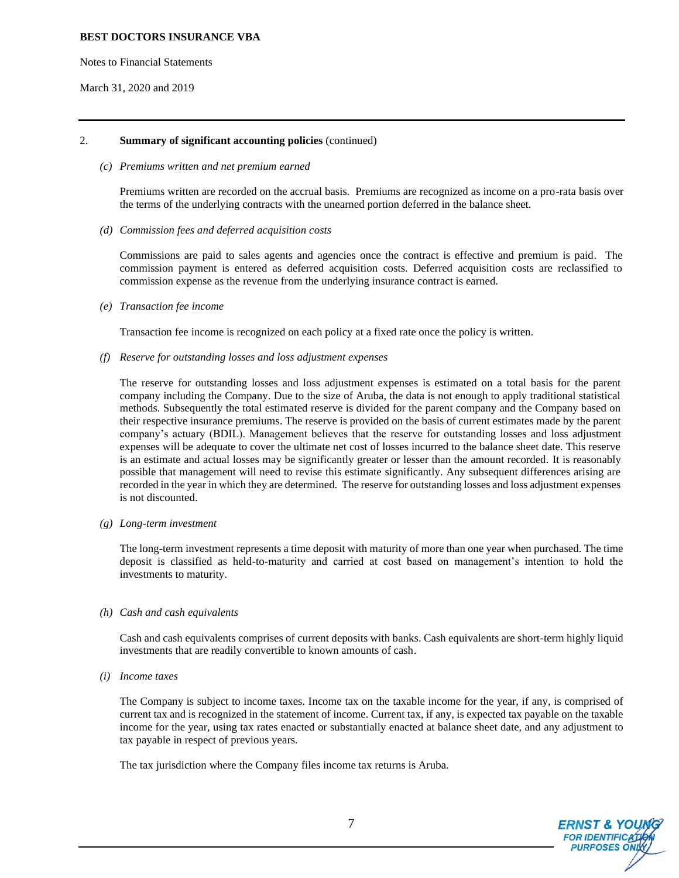Notes to Financial Statements

March 31, 2020 and 2019

#### 2. **Summary of significant accounting policies** (continued)

#### *(c) Premiums written and net premium earned*

Premiums written are recorded on the accrual basis. Premiums are recognized as income on a pro-rata basis over the terms of the underlying contracts with the unearned portion deferred in the balance sheet.

*(d) Commission fees and deferred acquisition costs*

Commissions are paid to sales agents and agencies once the contract is effective and premium is paid. The commission payment is entered as deferred acquisition costs. Deferred acquisition costs are reclassified to commission expense as the revenue from the underlying insurance contract is earned.

*(e) Transaction fee income*

Transaction fee income is recognized on each policy at a fixed rate once the policy is written.

*(f) Reserve for outstanding losses and loss adjustment expenses*

The reserve for outstanding losses and loss adjustment expenses is estimated on a total basis for the parent company including the Company. Due to the size of Aruba, the data is not enough to apply traditional statistical methods. Subsequently the total estimated reserve is divided for the parent company and the Company based on their respective insurance premiums. The reserve is provided on the basis of current estimates made by the parent company's actuary (BDIL). Management believes that the reserve for outstanding losses and loss adjustment expenses will be adequate to cover the ultimate net cost of losses incurred to the balance sheet date. This reserve is an estimate and actual losses may be significantly greater or lesser than the amount recorded. It is reasonably possible that management will need to revise this estimate significantly. Any subsequent differences arising are recorded in the year in which they are determined. The reserve for outstanding losses and loss adjustment expenses is not discounted.

*(g) Long-term investment*

The long-term investment represents a time deposit with maturity of more than one year when purchased. The time deposit is classified as held-to-maturity and carried at cost based on management's intention to hold the investments to maturity.

## *(h) Cash and cash equivalents*

Cash and cash equivalents comprises of current deposits with banks. Cash equivalents are short-term highly liquid investments that are readily convertible to known amounts of cash.

*(i) Income taxes*

The Company is subject to income taxes. Income tax on the taxable income for the year, if any, is comprised of current tax and is recognized in the statement of income. Current tax, if any, is expected tax payable on the taxable income for the year, using tax rates enacted or substantially enacted at balance sheet date, and any adjustment to tax payable in respect of previous years.

The tax jurisdiction where the Company files income tax returns is Aruba.

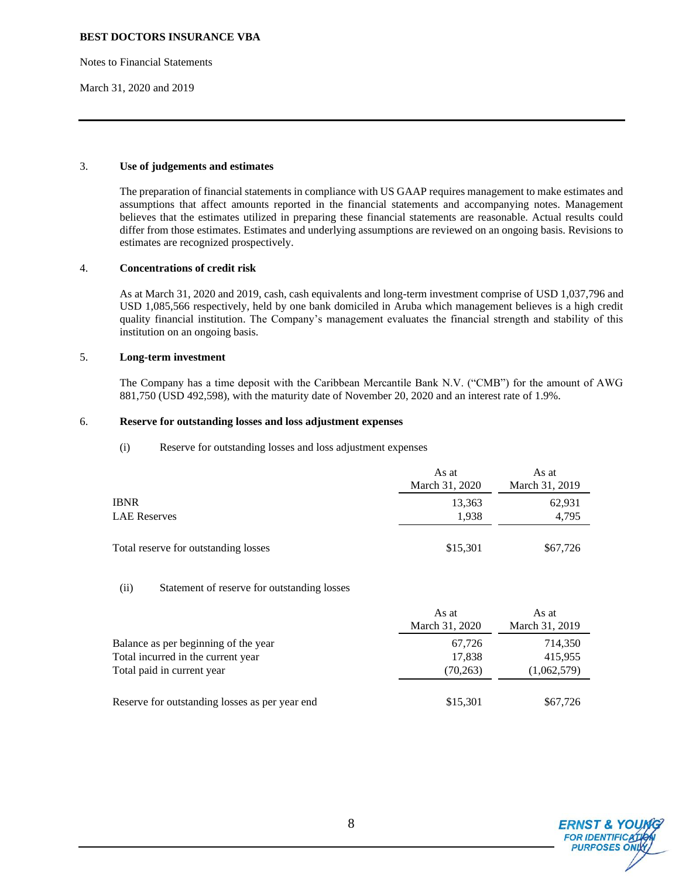Notes to Financial Statements

March 31, 2020 and 2019

#### 3. **Use of judgements and estimates**

The preparation of financial statements in compliance with US GAAP requires management to make estimates and assumptions that affect amounts reported in the financial statements and accompanying notes. Management believes that the estimates utilized in preparing these financial statements are reasonable. Actual results could differ from those estimates. Estimates and underlying assumptions are reviewed on an ongoing basis. Revisions to estimates are recognized prospectively.

## 4. **Concentrations of credit risk**

As at March 31, 2020 and 2019, cash, cash equivalents and long-term investment comprise of USD 1,037,796 and USD 1,085,566 respectively, held by one bank domiciled in Aruba which management believes is a high credit quality financial institution. The Company's management evaluates the financial strength and stability of this institution on an ongoing basis.

## 5. **Long-term investment**

The Company has a time deposit with the Caribbean Mercantile Bank N.V. ("CMB") for the amount of AWG 881,750 (USD 492,598), with the maturity date of November 20, 2020 and an interest rate of 1.9%.

#### 6. **Reserve for outstanding losses and loss adjustment expenses**

#### (i) Reserve for outstanding losses and loss adjustment expenses

|                                      | As at<br>March 31, 2020 | As at<br>March 31, 2019 |
|--------------------------------------|-------------------------|-------------------------|
| <b>IBNR</b><br><b>LAE Reserves</b>   | 13,363<br>1.938         | 62,931<br>4.795         |
| Total reserve for outstanding losses | \$15,301                | \$67,726                |

#### (ii) Statement of reserve for outstanding losses

|                                                 | As at<br>March 31, 2020 | As at<br>March 31, 2019 |
|-------------------------------------------------|-------------------------|-------------------------|
| Balance as per beginning of the year            | 67,726                  | 714,350                 |
| Total incurred in the current year              | 17.838                  | 415,955                 |
| Total paid in current year                      | (70, 263)               | (1,062,579)             |
| Reserve for outstanding losses as per year end. | \$15,301                | \$67,726                |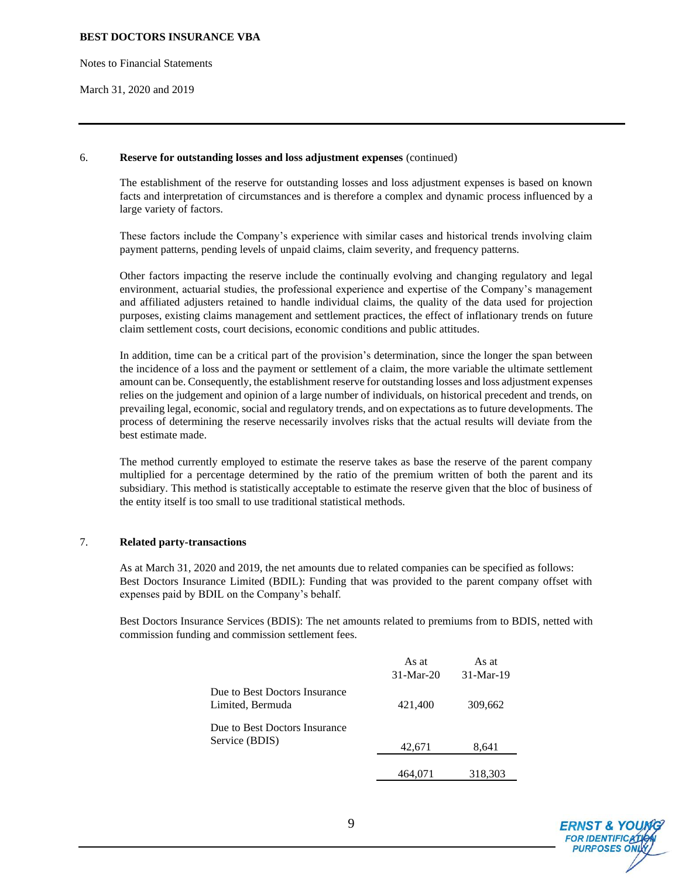Notes to Financial Statements

March 31, 2020 and 2019

#### 6. **Reserve for outstanding losses and loss adjustment expenses** (continued)

The establishment of the reserve for outstanding losses and loss adjustment expenses is based on known facts and interpretation of circumstances and is therefore a complex and dynamic process influenced by a large variety of factors.

These factors include the Company's experience with similar cases and historical trends involving claim payment patterns, pending levels of unpaid claims, claim severity, and frequency patterns.

Other factors impacting the reserve include the continually evolving and changing regulatory and legal environment, actuarial studies, the professional experience and expertise of the Company's management and affiliated adjusters retained to handle individual claims, the quality of the data used for projection purposes, existing claims management and settlement practices, the effect of inflationary trends on future claim settlement costs, court decisions, economic conditions and public attitudes.

In addition, time can be a critical part of the provision's determination, since the longer the span between the incidence of a loss and the payment or settlement of a claim, the more variable the ultimate settlement amount can be. Consequently, the establishment reserve for outstanding losses and loss adjustment expenses relies on the judgement and opinion of a large number of individuals, on historical precedent and trends, on prevailing legal, economic, social and regulatory trends, and on expectations as to future developments. The process of determining the reserve necessarily involves risks that the actual results will deviate from the best estimate made.

The method currently employed to estimate the reserve takes as base the reserve of the parent company multiplied for a percentage determined by the ratio of the premium written of both the parent and its subsidiary. This method is statistically acceptable to estimate the reserve given that the bloc of business of the entity itself is too small to use traditional statistical methods.

## 7. **Related party-transactions**

As at March 31, 2020 and 2019, the net amounts due to related companies can be specified as follows: Best Doctors Insurance Limited (BDIL): Funding that was provided to the parent company offset with expenses paid by BDIL on the Company's behalf.

Best Doctors Insurance Services (BDIS): The net amounts related to premiums from to BDIS, netted with commission funding and commission settlement fees.

|                                                   | As at<br>$31-Mar-20$ | As at<br>$31-Mar-19$ |
|---------------------------------------------------|----------------------|----------------------|
| Due to Best Doctors Insurance<br>Limited, Bermuda | 421,400              | 309,662              |
| Due to Best Doctors Insurance                     |                      |                      |
| Service (BDIS)                                    | 42,671               | 8,641                |
|                                                   | 464,071              | 318,303              |

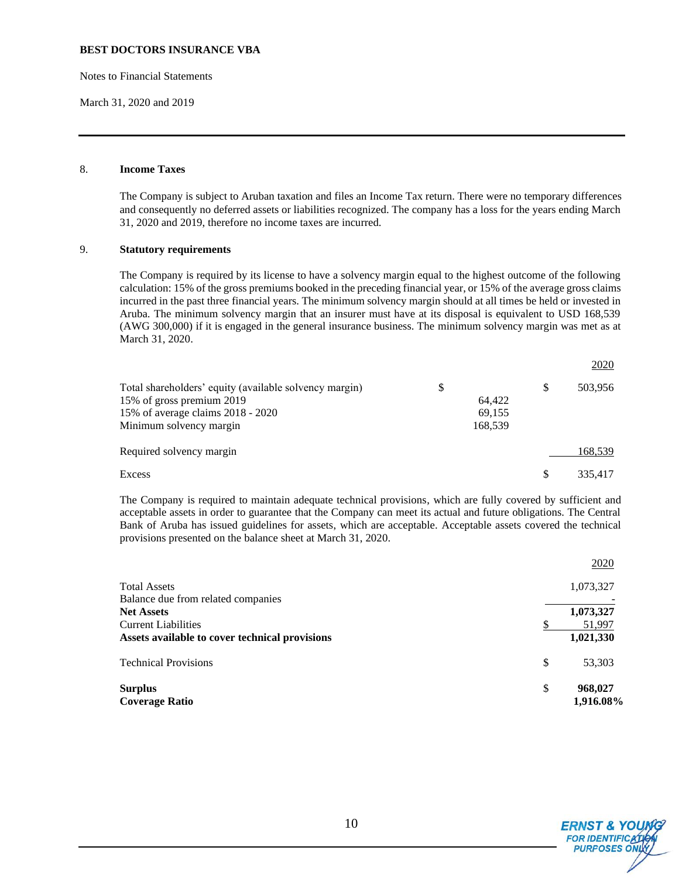Notes to Financial Statements

March 31, 2020 and 2019

#### 8. **Income Taxes**

The Company is subject to Aruban taxation and files an Income Tax return. There were no temporary differences and consequently no deferred assets or liabilities recognized. The company has a loss for the years ending March 31, 2020 and 2019, therefore no income taxes are incurred.

#### 9. **Statutory requirements**

The Company is required by its license to have a solvency margin equal to the highest outcome of the following calculation: 15% of the gross premiums booked in the preceding financial year, or 15% of the average gross claims incurred in the past three financial years. The minimum solvency margin should at all times be held or invested in Aruba. The minimum solvency margin that an insurer must have at its disposal is equivalent to USD 168,539 (AWG 300,000) if it is engaged in the general insurance business. The minimum solvency margin was met as at March 31, 2020.

|                                                                                                                                                     |                                   | 2020          |
|-----------------------------------------------------------------------------------------------------------------------------------------------------|-----------------------------------|---------------|
| Total shareholders' equity (available solvency margin)<br>15% of gross premium 2019<br>15% of average claims 2018 - 2020<br>Minimum solvency margin | \$<br>64.422<br>69,155<br>168,539 | \$<br>503,956 |
| Required solvency margin                                                                                                                            |                                   | 168,539       |
| Excess                                                                                                                                              |                                   | \$<br>335,417 |

The Company is required to maintain adequate technical provisions, which are fully covered by sufficient and acceptable assets in order to guarantee that the Company can meet its actual and future obligations. The Central Bank of Aruba has issued guidelines for assets, which are acceptable. Acceptable assets covered the technical provisions presented on the balance sheet at March 31, 2020.

|                                                |    | 2020                 |
|------------------------------------------------|----|----------------------|
| <b>Total Assets</b>                            |    | 1,073,327            |
| Balance due from related companies             |    |                      |
| <b>Net Assets</b>                              |    | 1,073,327            |
| <b>Current Liabilities</b>                     | Я  | 51,997               |
| Assets available to cover technical provisions |    | 1,021,330            |
| <b>Technical Provisions</b>                    | \$ | 53,303               |
| <b>Surplus</b><br><b>Coverage Ratio</b>        | \$ | 968,027<br>1,916.08% |
|                                                |    |                      |